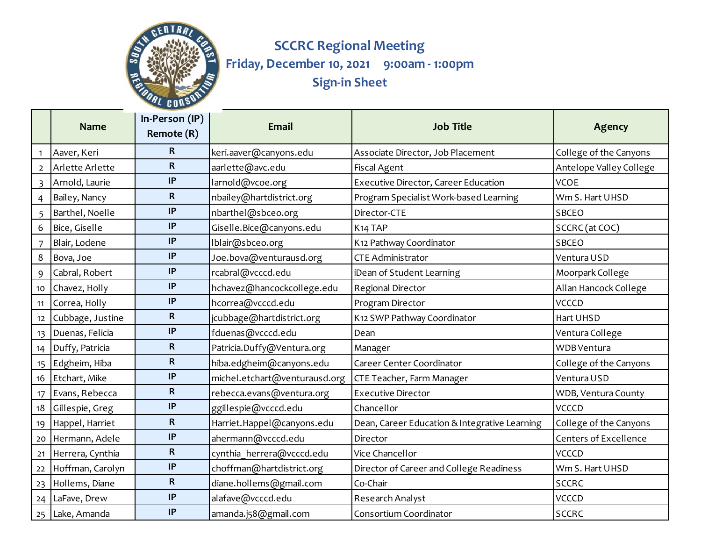

## **SCCRC Regional Meeting Friday, December 10, 2021 9:00am - 1:00pm Sign-in Sheet**

|                 | <b>Name</b>         | In-Person (IP)<br>Remote (R) | <b>Email</b>                  | <b>Job Title</b>                              | Agency                       |
|-----------------|---------------------|------------------------------|-------------------------------|-----------------------------------------------|------------------------------|
| $\mathbf{1}$    | Aaver, Keri         | $\mathsf{R}$                 | keri.aaver@canyons.edu        | Associate Director, Job Placement             | College of the Canyons       |
| $\overline{2}$  | Arlette Arlette     | $\mathbf R$                  | aarlette@avc.edu              | <b>Fiscal Agent</b>                           | Antelope Valley College      |
| $\overline{3}$  | Arnold, Laurie      | IP                           | larnold@vcoe.org              | Executive Director, Career Education          | <b>VCOE</b>                  |
| $\overline{4}$  | Bailey, Nancy       | $\mathbf R$                  | nbailey@hartdistrict.org      | Program Specialist Work-based Learning        | Wm S. Hart UHSD              |
| 5 <sup>5</sup>  | Barthel, Noelle     | $\ensuremath{\mathsf{IP}}$   | nbarthel@sbceo.org            | Director-CTE                                  | <b>SBCEO</b>                 |
| 6               | Bice, Giselle       | IP                           | Giselle.Bice@canyons.edu      | K <sub>14</sub> TAP                           | SCCRC (at COC)               |
| $\overline{7}$  | Blair, Lodene       | IP                           | Iblair@sbceo.org              | K12 Pathway Coordinator                       | <b>SBCEO</b>                 |
| 8               | Bova, Joe           | IP                           | Joe.bova@venturausd.org       | <b>CTE Administrator</b>                      | Ventura USD                  |
| 9               | Cabral, Robert      | $\ensuremath{\mathsf{IP}}$   | rcabral@vcccd.edu             | iDean of Student Learning                     | Moorpark College             |
| 10 <sub>1</sub> | Chavez, Holly       | $\ensuremath{\mathsf{IP}}$   | hchavez@hancockcollege.edu    | Regional Director                             | Allan Hancock College        |
| 11              | Correa, Holly       | IP                           | hcorrea@vcccd.edu             | Program Director                              | <b>VCCCD</b>                 |
| 12              | Cubbage, Justine    | R                            | jcubbage@hartdistrict.org     | K12 SWP Pathway Coordinator                   | Hart UHSD                    |
| 13              | Duenas, Felicia     | IP                           | fduenas@vcccd.edu             | Dean                                          | Ventura College              |
|                 | 14 Duffy, Patricia  | R                            | Patricia.Duffy@Ventura.org    | Manager                                       | <b>WDB</b> Ventura           |
| 15              | Edgheim, Hiba       | R                            | hiba.edgheim@canyons.edu      | Career Center Coordinator                     | College of the Canyons       |
| 16              | Etchart, Mike       | IP                           | michel.etchart@venturausd.org | CTE Teacher, Farm Manager                     | Ventura USD                  |
| 17              | Evans, Rebecca      | $\mathsf R$                  | rebecca.evans@ventura.org     | <b>Executive Director</b>                     | WDB, Ventura County          |
| 18              | Gillespie, Greg     | IP                           | ggillespie@vcccd.edu          | Chancellor                                    | VCCCD                        |
| 19              | Happel, Harriet     | R                            | Harriet.Happel@canyons.edu    | Dean, Career Education & Integrative Learning | College of the Canyons       |
|                 | 20 Hermann, Adele   | IP                           | ahermann@vcccd.edu            | Director                                      | <b>Centers of Excellence</b> |
|                 | 21 Herrera, Cynthia | $\mathbf R$                  | cynthia herrera@vcccd.edu     | Vice Chancellor                               | <b>VCCCD</b>                 |
| 22              | Hoffman, Carolyn    | IP                           | choffman@hartdistrict.org     | Director of Career and College Readiness      | Wm S. Hart UHSD              |
|                 | 23 Hollems, Diane   | $\mathbf R$                  | diane.hollems@gmail.com       | Co-Chair                                      | <b>SCCRC</b>                 |
|                 | 24 LaFave, Drew     | IP                           | alafave@vcccd.edu             | Research Analyst                              | <b>VCCCD</b>                 |
|                 | 25 Lake, Amanda     | IP                           | amanda.j58@gmail.com          | Consortium Coordinator                        | <b>SCCRC</b>                 |